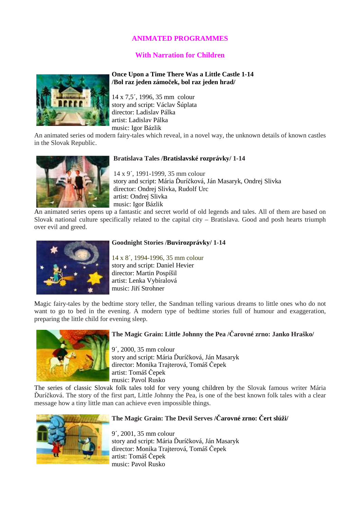# **ANIMATED PROGRAMMES**

# **With Narration for Children**

#### **Once Upon a Time There Was a Little Castle 1-14 /Bol raz jeden zámo**č**ek, bol raz jeden hrad/**

14 x 7,5´, 1996, 35 mm colour story and script: Václav Šúplata director: Ladislav Pálka artist: Ladislav Pálka music: Igor Bázlik

An animated series od modern fairy-tales which reveal, in a novel way, the unknown details of known castles in the Slovak Republic.



#### **Bratislava Tales /Bratislavské rozprávky/ 1-14**

 14 x 9´, 1991-1999, 35 mm colour story and script: Mária Ďuríčková, Ján Masaryk, Ondrej Slivka director: Ondrej Slivka, Rudolf Urc artist: Ondrej Slivka music: Igor Bázlik

An animated series opens up a fantastic and secret world of old legends and tales. All of them are based on Slovak national culture specifically related to the capital city – Bratislava. Good and posh hearts triumph over evil and greed.



#### **Goodnight Stories /Buvirozprávky/ 1-14**

14 x 8´, 1994-1996, 35 mm colour story and script: Daniel Hevier director: Martin Pospíšil artist: Lenka Vybíralová music: Jiří Strohner

Magic fairy-tales by the bedtime story teller, the Sandman telling various dreams to little ones who do not want to go to bed in the evening. A modern type of bedtime stories full of humour and exaggeration, preparing the little child for evening sleep.



#### **The Magic Grain: Little Johnny the Pea /**Č**arovné zrno: Janko Hraško/**

9´, 2000, 35 mm colour story and script: Mária Ďuríčková, Ján Masaryk director: Monika Trajterová, Tomáš Čepek artist: Tomáš Čepek music: Pavol Rusko

The series of classic Slovak folk tales told for very young children by the Slovak famous writer Mária Ďuríčková. The story of the first part, Little Johnny the Pea, is one of the best known folk tales with a clear message how a tiny little man can achieve even impossible things.



### **The Magic Grain: The Devil Serves /**Č**arovné zrno:** Č**ert slúži/**

9´, 2001, 35 mm colour story and script: Mária Ďuríčková, Ján Masaryk director: Monika Trajterová, Tomáš Čepek artist: Tomáš Čepek music: Pavol Rusko

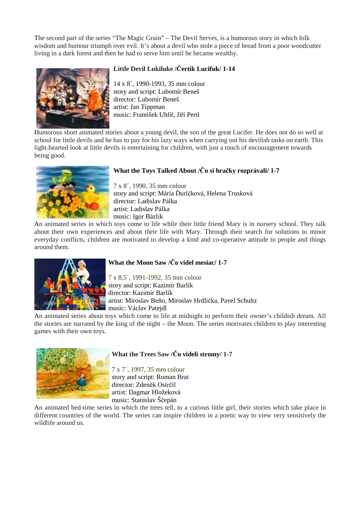The second part of the series "The Magic Grain" – The Devil Serves, is a humorous story in which folk wisdom and humour triumph over evil. It's about a devil who stole a piece of bread from a poor woodcutter living in a dark forest and then he had to serve him until he became wealthy.



# **Little Devil Lukiluke /**Č**ertík Lucifuk/ 1-14**

 14 x 8´, 1990-1993, 35 mm colour story and script: Lubomír Beneš director: Lubomír Beneš artist: Jan Tippman music: František Uhlíř, Jiří Pertl

Humorous short animated stories about a young devil, the son of the great Lucifer. He does not do so well at school for little devils and he has to pay for his lazy ways when carrying out his devilish tasks on earth. This light-hearted look at little devils is entertaining for children, with just a touch of encouragement towards being good.



# **What the Toys Talked About /**Č**o si hra**č**ky rozprávali/ 1-7**

 7 x 8´, 1990, 35 mm colour story and script: Mária Ďuríčková, Helena Trusková director: Ladislav Pálka artist: Ladislav Pálka music: Igor Bázlik

An animated series in which toys come to life while their little friend Mary is in nursery school. They talk about their own experiences and about their life with Mary. Through their search for solutions to minor everyday conflicts, children are motivated to develop a kind and co-operative attitude to people and things around them.



# **What the Moon Saw /**Č**o videl mesiac/ 1-7**

7 x 8,5´, 1991-1992, 35 mm colour story and script: Kazimír Barlík director: Kazimír Barlík artist: Miroslav Beňo, Miroslav Hrdlička, Pavel Schultz **Music: Václav Patejdl** 

An animated series about toys which come to life at midnight to perform their owner's childish dream. All the stories are narrated by the king of the night – the Moon. The series motivates children to play interesting games with their own toys.



# **What the Trees Saw /**Č**o videli stromy/ 1-7**

7 x 7´, 1997, 35 mm colour story and script: Roman Brat director: Zdeněk Ostrčil artist: Dagmar Hložeková music: Stanislav Ščepán

An animated bed-time series in which the trees tell, to a curious little girl, their stories which take place in different countries of the world. The series can inspire children in a poetic way to view very sensitively the wildlife around us.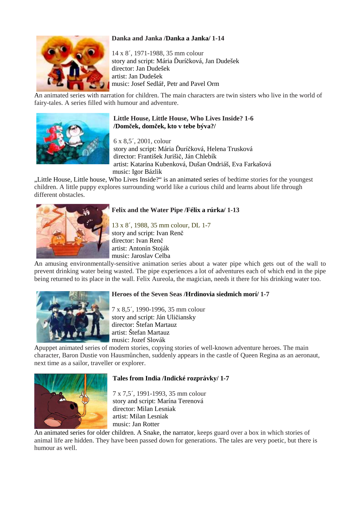# **Danka and Janka /Danka a Janka/ 1-14**



14 x 8´, 1971-1988, 35 mm colour story and script: Mária Ďuríčková, Jan Dudešek director: Jan Dudešek artist: Jan Dudešek music: Josef Sedlář, Petr and Pavel Orm

An animated series with narration for children. The main characters are twin sisters who live in the world of fairy-tales. A series filled with humour and adventure.



#### **Little House, Little House, Who Lives Inside? 1-6 /Dom**č**ek, dom**č**ek, kto v tebe býva?/**

 6 x 8,5´, 2001, colour story and script: Mária Ďuríčková, Helena Trusková director: František Jurišič, Ján Chlebík artist: Katarína Kubenková, Dušan Ondriáš, Eva Farkašová music: Igor Bázlik

"Little House, Little house, Who Lives Inside?" is an animated series of bedtime stories for the youngest children. A little puppy explores surrounding world like a curious child and learns about life through different obstacles.



# **Felix and the Water Pipe /Félix a rúrka/ 1-13**

13 x 8´, 1988, 35 mm colour, DL 1-7 story and script: Ivan Renč director: Ivan Renč artist: Antonín Stoják music: Jaroslav Celba

An amusing environmentally-sensitive animation series about a water pipe which gets out of the wall to prevent drinking water being wasted. The pipe experiences a lot of adventures each of which end in the pipe being returned to its place in the wall. Felix Aureola, the magician, needs it there for his drinking water too.



### **Heroes of the Seven Seas /Hrdinovia siedmich morí/ 1-7**

7 x 8,5´, 1990-1996, 35 mm colour story and script: Ján Uličiansky director: Štefan Martauz artist: Štefan Martauz music: Jozef Slovák

Apuppet animated series of modern stories, copying stories of well-known adventure heroes. The main character, Baron Dustie von Hausmőnchen, suddenly appears in the castle of Queen Regina as an aeronaut, next time as a sailor, traveller or explorer.



#### **Tales from India /Indické rozprávky/ 1-7**

7 x 7,5´, 1991-1993, 35 mm colour story and script: Marína Terenová director: Milan Lesniak artist: Milan Lesniak music: Jan Rotter

An animated series for older children. A Snake, the narrator, keeps guard over a box in which stories of animal life are hidden. They have been passed down for generations. The tales are very poetic, but there is humour as well.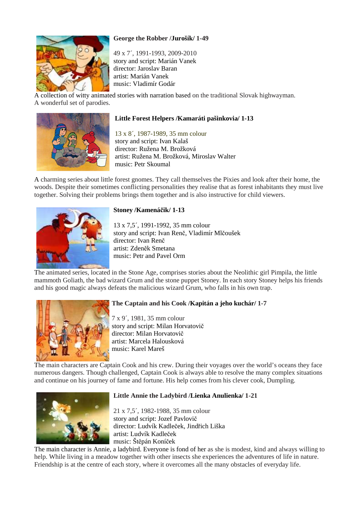# **George the Robber /Jurošík/ 1-49**

 49 x 7´, 1991-1993, 2009-2010 story and script: Marián Vanek director: Jaroslav Baran artist: Marián Vanek music: Vladimír Godár

A collection of witty animated stories with narration based on the traditional Slovak highwayman. A wonderful set of parodies.



# **Little Forest Helpers /Kamaráti pašinkovia/ 1-13**

13 x 8´, 1987-1989, 35 mm colour story and script: Ivan Kalaš director: Ružena M. Brožková artist: Ružena M. Brožková, Miroslav Walter music: Petr Skoumal

A charming series about little forest gnomes. They call themselves the Pixies and look after their home, the woods. Despite their sometimes conflicting personalities they realise that as forest inhabitants they must live together. Solving their problems brings them together and is also instructive for child viewers.



# **Stoney /Kamená**č**ik/ 1-13**

 13 x 7,5´, 1991-1992, 35 mm colour story and script: Ivan Renč, Vladimír Mlčoušek director: Ivan Renč artist: Zdeněk Smetana music: Petr and Pavel Orm

The animated series, located in the Stone Age, comprises stories about the Neolithic girl Pimpila, the little mammoth Goliath, the bad wizard Grum and the stone puppet Stoney. In each story Stoney helps his friends and his good magic always defeats the malicious wizard Grum, who falls in his own trap.



# **The Captain and his Cook /Kapitán a jeho kuchár/ 1-7**

7 x 9´, 1981, 35 mm colour story and script: Milan Horvatovič director: Milan Horvatovič artist: Marcela Halousková music: Karel Mareš

The main characters are Captain Cook and his crew. During their voyages over the world's oceans they face numerous dangers. Though challenged, Captain Cook is always able to resolve the many complex situations and continue on his journey of fame and fortune. His help comes from his clever cook, Dumpling.



# **Little Annie the Ladybird /Lienka Anulienka/ 1-21**

 21 x 7,5´, 1982-1988, 35 mm colour story and script: Jozef Pavlovič director: Ludvík Kadleček, Jindřich Liška artist: Ludvík Kadleček music: Štěpán Koníček

The main character is Annie, a ladybird. Everyone is fond of her as she is modest, kind and always willing to help. While living in a meadow together with other insects she experiences the adventures of life in nature. Friendship is at the centre of each story, where it overcomes all the many obstacles of everyday life.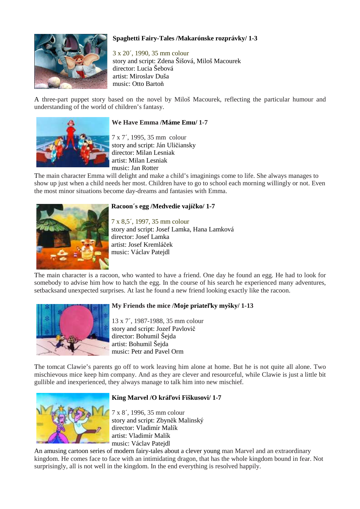

# **Spaghetti Fairy-Tales /Makarónske rozprávky/ 1-3**

3 x 20´, 1990, 35 mm colour story and script: Zdena Šišová, Miloš Macourek director: Lucia Šebová artist: Miroslav Duša music: Otto Bartoň

A three-part puppet story based on the novel by Miloš Macourek, reflecting the particular humour and understanding of the world of children's fantasy.



#### **We Have Emma /Máme Emu/ 1-7**

7 x 7´, 1995, 35 mm colour story and script: Ján Uličiansky director: Milan Lesniak artist: Milan Lesniak music: Jan Rotter

The main character Emma will delight and make a child's imaginings come to life. She always manages to show up just when a child needs her most. Children have to go to school each morning willingly or not. Even the most minor situations become day-dreams and fantasies with Emma.



#### **Racoon´s egg /Medvedie vají**č**ko/ 1-7**

7 x 8,5´, 1997, 35 mm colour story and script: Josef Lamka, Hana Lamková director: Josef Lamka artist: Josef Kremláček music: Václav Patejdl

The main character is a racoon, who wanted to have a friend. One day he found an egg. He had to look for somebody to advise him how to hatch the egg. In the course of his search he experienced many adventures, setbacksand unexpected surprises. At last he found a new friend looking exactly like the racoon.



### **My Friends the mice /Moje priate**ľ**ky myšky/ 1-13**

13 x 7´, 1987-1988, 35 mm colour story and script: Jozef Pavlovič director: Bohumil Šejda artist: Bohumil Šejda music: Petr and Pavel Orm

The tomcat Clawie's parents go off to work leaving him alone at home. But he is not quite all alone. Two mischievous mice keep him company. And as they are clever and resourceful, while Clawie is just a little bit gullible and inexperienced, they always manage to talk him into new mischief.



#### **King Marvel /O krá**ľ**ovi Fiškusovi/ 1-7**

7 x 8´, 1996, 35 mm colour story and script: Zbyněk Malinský director: Vladimír Malík artist: Vladimír Malík music: Václav Patejdl

An amusing cartoon series of modern fairy-tales about a clever young man Marvel and an extraordinary kingdom. He comes face to face with an intimidating dragon, that has the whole kingdom bound in fear. Not surprisingly, all is not well in the kingdom. In the end everything is resolved happily.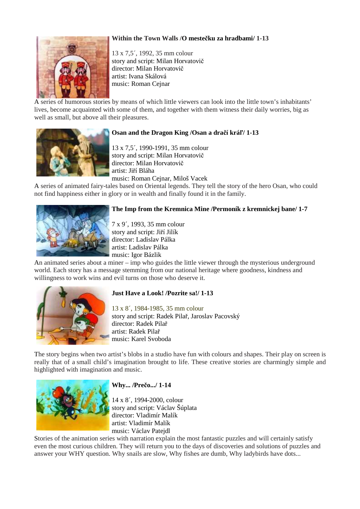### **Within the Town Walls /O meste**č**ku za hradbami/ 1-13**



13 x 7,5´, 1992, 35 mm colour story and script: Milan Horvatovič director: Milan Horvatovič artist: Ivana Skálová music: Roman Cejnar

A series of humorous stories by means of which little viewers can look into the little town's inhabitants' lives, become acquainted with some of them, and together with them witness their daily worries, big as well as small, but above all their pleasures.



#### **Osan and the Dragon King /Osan a dra**č**í krá**ľ**/ 1-13**

13 x 7,5´, 1990-1991, 35 mm colour story and script: Milan Horvatovič director: Milan Horvatovič artist: Jiří Bláha music: Roman Cejnar, Miloš Vacek

A series of animated fairy-tales based on Oriental legends. They tell the story of the hero Osan, who could not find happiness either in glory or in wealth and finally found it in the family.



#### **The Imp from the Kremnica Mine /Permoník z kremnickej bane/ 1-7**

7 x 9´, 1993, 35 mm colour story and script: Jiří Jilík director: Ladislav Pálka artist: Ladislav Pálka music: Igor Bázlik

An animated series about a miner – imp who guides the little viewer through the mysterious underground world. Each story has a message stemming from our national heritage where goodness, kindness and willingness to work wins and evil turns on those who deserve it.



#### **Just Have a Look! /Pozrite sa!/ 1-13**

13 x 8´, 1984-1985, 35 mm colour story and script: Radek Pilař, Jaroslav Pacovský director: Radek Pilař artist: Radek Pilař music: Karel Svoboda

The story begins when two artist's blobs in a studio have fun with colours and shapes. Their play on screen is really that of a small child's imagination brought to life. These creative stories are charmingly simple and highlighted with imagination and music.



#### **Why... /Pre**č**o.../ 1-14**

14 x 8´, 1994-2000, colour story and script: Václav Šúplata director: Vladimír Malík artist: Vladimír Malík music: Václav Patejdl

Stories of the animation series with narration explain the most fantastic puzzles and will certainly satisfy even the most curious children. They will return you to the days of discoveries and solutions of puzzles and answer your WHY question. Why snails are slow, Why fishes are dumb, Why ladybirds have dots...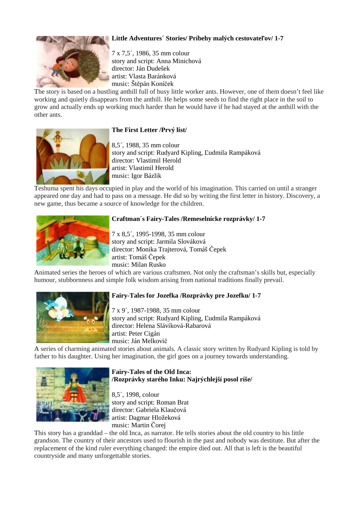# **Little Adventures´ Stories/ Príbehy malých cestovate**ľ**ov/ 1-7**



7 x 7,5´, 1986, 35 mm colour story and script: Anna Minichová director: Ján Dudešek artist: Vlasta Baránková music: Štěpán Koníček

The story is based on a bustling anthill full of busy little worker ants. However, one of them doesn't feel like working and quietly disappears from the anthill. He helps some seeds to find the right place in the soil to grow and actually ends up working much harder than he would have if he had stayed at the anthill with the other ants.

# **The First Letter /Prvý list/**

8,5´, 1988, 35 mm colour story and script: Rudyard Kipling, Ľudmila Rampáková director: Vlastimil Herold artist: Vlastimil Herold music: Igor Bázlik

Teshuma spent his days occupied in play and the world of his imagination. This carried on until a stranger appeared one day and had to pass on a message. He did so by writing the first letter in history. Discovery, a new game, thus became a source of knowledge for the children.



# **Craftman´s Fairy-Tales /Remeselnícke rozprávky/ 1-7**

7 x 8,5´, 1995-1998, 35 mm colour story and script: Jarmila Slováková director: Monika Trajterová, Tomáš Čepek artist: Tomáš Čepek music: Milan Rusko

Animated series the heroes of which are various craftsmen. Not only the craftsman's skills but, especially humour, stubbornness and simple folk wisdom arising from national traditions finally prevail.



### **Fairy-Tales for Jozefka /Rozprávky pre Jozefku/ 1-7**

7 x 9´, 1987-1988, 35 mm colour story and script: Rudyard Kipling, Ľudmila Rampáková director: Helena Slávíková-Rabarová artist: Peter Cigán music: Ján Melkovič

A series of charming animated stories about animals. A classic story written by Rudyard Kipling is told by father to his daughter. Using her imagination, the girl goes on a journey towards understanding.



### **Fairy-Tales of the Old Inca: /Rozprávky starého Inku: Najrýchlejší posol ríše/**

8,5´, 1998, colour story and script: Roman Brat director: Gabriela Klaučová artist: Dagmar Hložeková music: Martin Čorej

This story has a granddad – the old Inca, as narrator. He tells stories about the old country to his little grandson. The country of their ancestors used to flourish in the past and nobody was destitute. But after the replacement of the kind ruler everything changed: the empire died out. All that is left is the beautiful countryside and many unforgettable stories.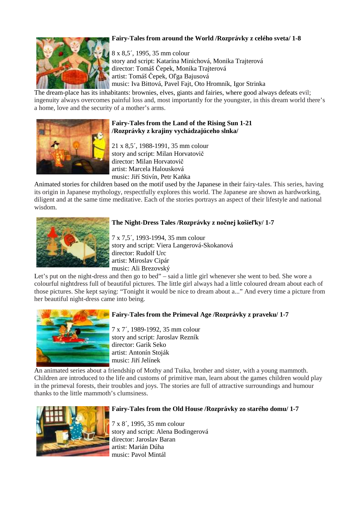# **Fairy-Tales from around the World /Rozprávky z celého sveta/ 1-8**

8 x 8,5´, 1995, 35 mm colour story and script: Katarína Minichová, Monika Trajterová director: Tomáš Čepek, Monika Trajterová artist: Tomáš Čepek, Oľga Bajusová music: Iva Bittová, Pavel Fajt, Oto Hromník, Igor Strinka

The dream-place has its inhabitants: brownies, elves, giants and fairies, where good always defeats evil; ingenuity always overcomes painful loss and, most importantly for the youngster, in this dream world there's a home, love and the security of a mother's arms.

# **Fairy-Tales from the Land of the Rising Sun 1-21 /Rozprávky z krajiny vychádzajúceho slnka/**

21 x 8,5´, 1988-1991, 35 mm colour story and script: Milan Horvatovič director: Milan Horvatovič artist: Marcela Halousková music: Jiří Stivín, Petr Kaňka

Animated stories for children based on the motif used by the Japanese in their fairy-tales. This series, having its origin in Japanese mythology, respectfully explores this world. The Japanese are shown as hardworking, diligent and at the same time meditative. Each of the stories portrays an aspect of their lifestyle and national wisdom.



### **The Night-Dress Tales /Rozprávky z no**č**nej košie**ľ**ky/ 1-7**

7 x 7,5´, 1993-1994, 35 mm colour story and script: Viera Langerová-Skokanová director: Rudolf Urc artist: Miroslav Cipár music: Ali Brezovský

Let's put on the night-dress and then go to bed" – said a little girl whenever she went to bed. She wore a colourful nightdress full of beautiful pictures. The little girl always had a little coloured dream about each of those pictures. She kept saying: "Tonight it would be nice to dream about a..." And every time a picture from her beautiful night-dress came into being.



# **Fairy-Tales from the Primeval Age /Rozprávky z praveku/ 1-7**

7 x 7´, 1989-1992, 35 mm colour story and script: Jaroslav Rezník director: Garik Seko artist: Antonín Stoják music: Jiří Jelínek

An animated series about a friendship of Mothy and Tuika, brother and sister, with a young mammoth. Children are introduced to the life and customs of primitive man, learn about the games children would play in the primeval forests, their troubles and joys. The stories are full of attractive surroundings and humour thanks to the little mammoth's clumsiness.



### **Fairy-Tales from the Old House /Rozprávky zo starého domu/ 1-7**

7 x 8´, 1995, 35 mm colour story and script: Alena Bodingerová director: Jaroslav Baran artist: Marián Dúha music: Pavol Mintál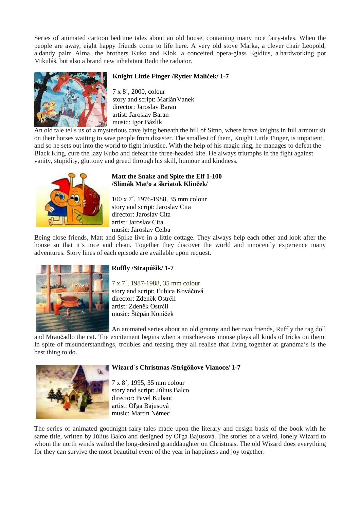Series of animated cartoon bedtime tales about an old house, containing many nice fairy-tales. When the people are away, eight happy friends come to life here. A very old stove Marka, a clever chair Leopold, a dandy palm Alma, the brothers Kuko and Klok, a conceited opera-glass Egídius, a hardworking pot Mikuláš, but also a brand new inhabitant Rado the radiator.



# **Knight Little Finger /Rytier Malí**č**ek/ 1-7**

7 x 8´, 2000, colour story and script: Marián Vanek director: Jaroslav Baran artist: Jaroslav Baran music: Igor Bázlik

An old tale tells us of a mysterious cave lying beneath the hill of Sitno, where brave knights in full armour sit on their horses waiting to save people from disaster. The smallest of them, Knight Little Finger, is impatient, and so he sets out into the world to fight injustice. With the help of his magic ring, he manages to defeat the Black King, cure the lazy Kubo and defeat the three-headed kite. He always triumphs in the fight against vanity, stupidity, gluttony and greed through his skill, humour and kindness.



#### **Matt the Snake and Spite the Elf 1-100 /Slimák Ma**ť**o a škriatok Klin**č**ek/**

100 x 7´, 1976-1988, 35 mm colour story and script: Jaroslav Cita director: Jaroslav Cita artist: Jaroslav Cita music: Jaroslav Celba

Being close friends, Matt and Spike live in a little cottage. They always help each other and look after the house so that it's nice and clean. Together they discover the world and innocently experience many adventures. Story lines of each episode are available upon request.



# **Ruffly /Strapúšik/ 1-7**

7 x 7´, 1987-1988, 35 mm colour story and script: Ľubica Kováčová director: Zdeněk Ostrčil artist: Zdeněk Ostrčil music: Štěpán Koníček

An animated series about an old granny and her two friends, Ruffly the rag doll

and Mraučadlo the cat. The excitement begins when a mischievous mouse plays all kinds of tricks on them. In spite of misunderstandings, troubles and teasing they all realise that living together at grandma's is the best thing to do.



### **Wizard´s Christmas /Strigô**ň**ove Vianoce/ 1-7**

7 x 8´, 1995, 35 mm colour story and script: Július Balco director: Pavel Kubant artist: Oľga Bajusová music: Martin Němec

The series of animated goodnight fairy-tales made upon the literary and design basis of the book with he same title, written by Július Balco and designed by Oľga Bajusová. The stories of a weird, lonely Wizard to whom the north winds wafted the long-desired granddaughter on Christmas. The old Wizard does everything for they can survive the most beautiful event of the year in happiness and joy together.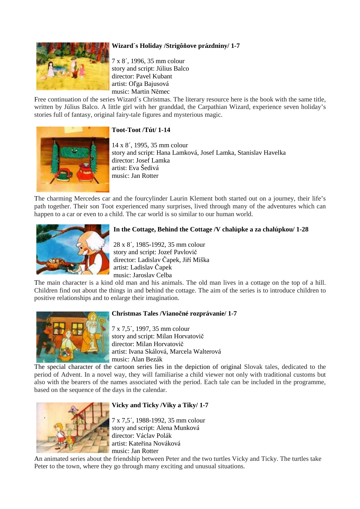# **Wizard´s Holiday /Strigô**ň**ove prázdniny/ 1-7**



7 x 8´, 1996, 35 mm colour story and script: Július Balco director: Pavel Kubant artist: Oľga Bajusová music: Martin Němec

Free continuation of the series Wizard´s Christmas. The literary resource here is the book with the same title, written by Július Balco. A little girl with her granddad, the Carpathian Wizard, experience seven holiday's stories full of fantasy, original fairy-tale figures and mysterious magic.

#### **Toot-Toot /Tút/ 1-14**

14 x 8´, 1995, 35 mm colour story and script: Hana Lamková, Josef Lamka, Stanislav Havelka director: Josef Lamka artist: Eva Šedivá music: Jan Rotter

The charming Mercedes car and the fourcylinder Laurin Klement both started out on a journey, their life's path together. Their son Toot experienced many surprises, lived through many of the adventures which can happen to a car or even to a child. The car world is so similar to our human world.



#### **In the Cottage, Behind the Cottage /V chalúpke a za chalúpkou/ 1-28**

 28 x 8´, 1985-1992, 35 mm colour story and script: Jozef Pavlovič director: Ladislav Čapek, Jiří Miška artist: Ladislav Čapek music: Jaroslav Celba

The main character is a kind old man and his animals. The old man lives in a cottage on the top of a hill. Children find out about the things in and behind the cottage. The aim of the series is to introduce children to positive relationships and to enlarge their imagination.



#### **Christmas Tales /Viano**č**né rozprávanie/ 1-7**

7 x 7,5´, 1997, 35 mm colour story and script: Milan Horvatovič director: Milan Horvatovič artist: Ivana Skálová, Marcela Walterová music: Alan Bezák

The special character of the cartoon series lies in the depiction of original Slovak tales, dedicated to the period of Advent. In a novel way, they will familiarise a child viewer not only with traditional customs but also with the bearers of the names associated with the period. Each tale can be included in the programme, based on the sequence of the days in the calendar.



### **Vicky and Ticky /Viky a Tiky/ 1-7**

7 x 7,5´, 1988-1992, 35 mm colour story and script: Alena Munková director: Václav Polák artist: Kateřina Nováková music: Jan Rotter

An animated series about the friendship between Peter and the two turtles Vicky and Ticky. The turtles take Peter to the town, where they go through many exciting and unusual situations.